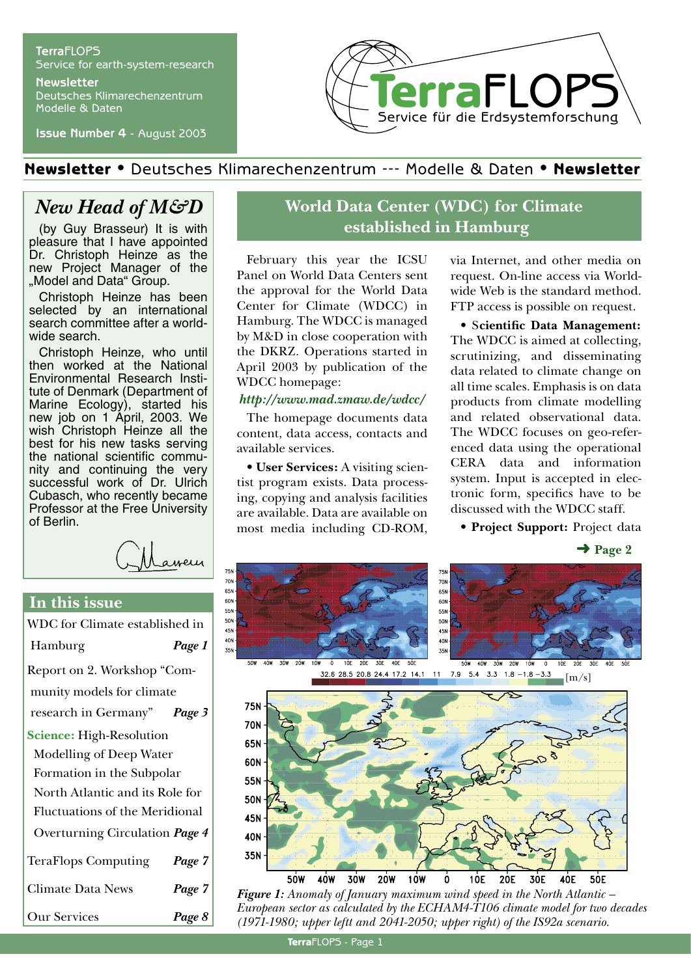#### **Terra**FLOPS Service for earth-system-research **Newsletter**

Deutsches Klimarechenzentrum Modelle & Daten

**Issue Number 4** - August 2003



## Newsletter • Deutsches Klimarechenzentrum --- Modelle & Daten • Newsletter

# *New Head of M&D*

(by Guy Brasseur) It is with pleasure that I have appointed Dr. Christoph Heinze as the new Project Manager of the "Model and Data" Group.

Christoph Heinze has been selected by an international search committee after a worldwide search.

Christoph Heinze, who until then worked at the National Environmental Research Institute of Denmark (Department of Marine Ecology), started his new job on 1 April, 2003. We wish Christoph Heinze all the best for his new tasks serving the national scientific community and continuing the very successful work of Dr. Ulrich Cubasch, who recently became Professor at the Free University of Berlin.

amery

### **In this issue**

| WDC for Climate established in        |        |
|---------------------------------------|--------|
| Hamburg                               | Page 1 |
| Report on 2. Workshop "Com-           |        |
| munity models for climate             |        |
| research in Germany" Page 3           |        |
| <b>Science:</b> High-Resolution       |        |
| Modelling of Deep Water               |        |
| Formation in the Subpolar             |        |
| North Atlantic and its Role for       |        |
| <b>Fluctuations of the Meridional</b> |        |
| Overturning Circulation Page 4        |        |
| <b>TeraFlops Computing</b>            | Page 7 |
| <b>Climate Data News</b>              | Page 7 |
| <b>Our Services</b>                   | Page 8 |

## **World Data Center (WDC) for Climate established in Hamburg**

February this year the ICSU Panel on World Data Centers sent the approval for the World Data Center for Climate (WDCC) in Hamburg. The WDCC is managed by M&D in close cooperation with the DKRZ. Operations started in April 2003 by publication of the WDCC homepage:

#### *http://www.mad.zmaw.de/wdcc/*

The homepage documents data content, data access, contacts and available services.

• **User Services:** A visiting scientist program exists. Data processing, copying and analysis facilities are available. Data are available on most media including CD-ROM, via Internet, and other media on request. On-line access via Worldwide Web is the standard method. FTP access is possible on request.

• S**cientific Data Management:** The WDCC is aimed at collecting, scrutinizing, and disseminating data related to climate change on all time scales. Emphasis is on data products from climate modelling and related observational data. The WDCC focuses on geo-referenced data using the operational CERA data and information system. Input is accepted in electronic form, specifics have to be discussed with the WDCC staff.

• **Project Support:** Project data

 $\rightarrow$  Page 2



*Figure 1: Anomaly of January maximum wind speed in the North Atlantic – European sector as calculated by the ECHAM4-T106 climate model for two decades (1971-1980; upper leftt and 2041-2050; upper right) of the IS92a scenario.*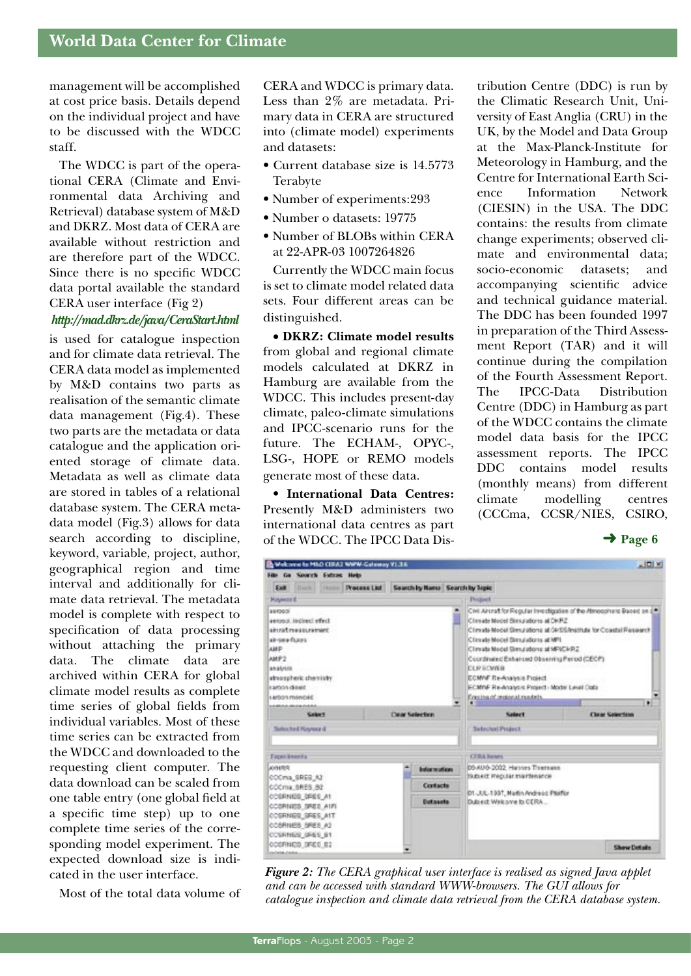management will be accomplished at cost price basis. Details depend on the individual project and have to be discussed with the WDCC staff.

The WDCC is part of the operational CERA (Climate and Environmental data Archiving and Retrieval) database system of M&D and DKRZ. Most data of CERA are available without restriction and are therefore part of the WDCC. Since there is no specific WDCC data portal available the standard CERA user interface (Fig 2)

#### *http://mad.dkrz.de/java/CeraStart.html*

is used for catalogue inspection and for climate data retrieval. The CERA data model as implemented by M&D contains two parts as realisation of the semantic climate data management (Fig.4). These two parts are the metadata or data catalogue and the application oriented storage of climate data. Metadata as well as climate data are stored in tables of a relational database system. The CERA metadata model (Fig.3) allows for data search according to discipline, keyword, variable, project, author, geographical region and time interval and additionally for climate data retrieval. The metadata model is complete with respect to specification of data processing without attaching the primary data. The climate data are archived within CERA for global climate model results as complete time series of global fields from individual variables. Most of these time series can be extracted from the WDCC and downloaded to the requesting client computer. The data download can be scaled from one table entry (one global field at a specific time step) up to one complete time series of the corresponding model experiment. The expected download size is indicated in the user interface.

Most of the total data volume of

CERA and WDCC is primary data. Less than 2% are metadata. Primary data in CERA are structured into (climate model) experiments and datasets:

- Current database size is 14.5773 Terabyte
- Number of experiments:293
- Number o datasets: 19775
- Number of BLOBs within CERA at 22-APR-03 1007264826

Currently the WDCC main focus is set to climate model related data sets. Four different areas can be distinguished.

• **DKRZ: Climate model results**  from global and regional climate models calculated at DKRZ in Hamburg are available from the WDCC. This includes present-day climate, paleo-climate simulations and IPCC-scenario runs for the future. The ECHAM-, OPYC-, LSG-, HOPE or REMO models generate most of these data.

• **International Data Centres:**  Presently M&D administers two international data centres as part of the WDCC. The IPCC Data Distribution Centre (DDC) is run by the Climatic Research Unit, University of East Anglia (CRU) in the UK, by the Model and Data Group at the Max-Planck-Institute for Meteorology in Hamburg, and the Centre for International Earth Science Information Network (CIESIN) in the USA. The DDC contains: the results from climate change experiments; observed climate and environmental data; socio-economic datasets; and accompanying scientific advice and technical guidance material. The DDC has been founded 1997 in preparation of the Third Assessment Report (TAR) and it will continue during the compilation of the Fourth Assessment Report. The IPCC-Data Distribution Centre (DDC) in Hamburg as part of the WDCC contains the climate model data basis for the IPCC assessment reports. The IPCC DDC contains model results (monthly means) from different climate modelling centres (CCCma, CCSR/NIES, CSIRO,

 $\rightarrow$  Page 6



*Figure 2: The CERA graphical user interface is realised as signed Java applet and can be accessed with standard WWW-browsers. The GUI allows for catalogue inspection and climate data retrieval from the CERA database system.*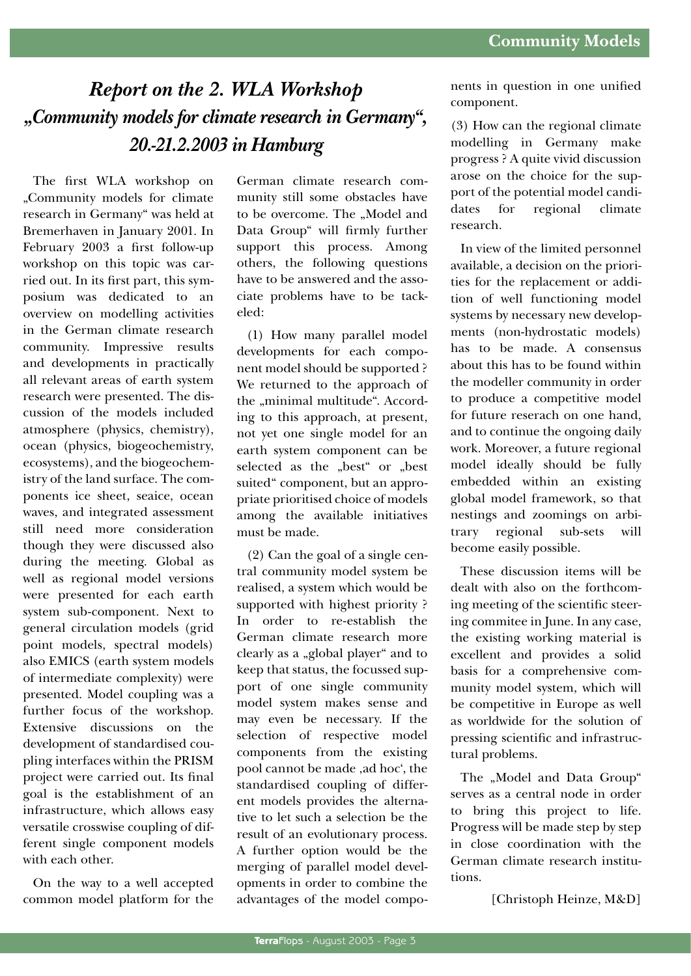# *Report on the 2. WLA Workshop "Community models for climate research in Germany", 20.-21.2.2003 in Hamburg*

The first WLA workshop on "Community models for climate research in Germany" was held at Bremerhaven in January 2001. In February 2003 a first follow-up workshop on this topic was carried out. In its first part, this symposium was dedicated to an overview on modelling activities in the German climate research community. Impressive results and developments in practically all relevant areas of earth system research were presented. The discussion of the models included atmosphere (physics, chemistry), ocean (physics, biogeochemistry, ecosystems), and the biogeochemistry of the land surface. The components ice sheet, seaice, ocean waves, and integrated assessment still need more consideration though they were discussed also during the meeting. Global as well as regional model versions were presented for each earth system sub-component. Next to general circulation models (grid point models, spectral models) also EMICS (earth system models of intermediate complexity) were presented. Model coupling was a further focus of the workshop. Extensive discussions on the development of standardised coupling interfaces within the PRISM project were carried out. Its final goal is the establishment of an infrastructure, which allows easy versatile crosswise coupling of different single component models with each other.

On the way to a well accepted common model platform for the

German climate research community still some obstacles have to be overcome. The "Model and Data Group" will firmly further support this process. Among others, the following questions have to be answered and the associate problems have to be tackeled:

(1) How many parallel model developments for each component model should be supported ? We returned to the approach of the "minimal multitude". According to this approach, at present, not yet one single model for an earth system component can be selected as the "best" or "best suited" component, but an appropriate prioritised choice of models among the available initiatives must be made.

(2) Can the goal of a single central community model system be realised, a system which would be supported with highest priority ? In order to re-establish the German climate research more clearly as a "global player" and to keep that status, the focussed support of one single community model system makes sense and may even be necessary. If the selection of respective model components from the existing pool cannot be made , ad hoc', the standardised coupling of different models provides the alternative to let such a selection be the result of an evolutionary process. A further option would be the merging of parallel model developments in order to combine the advantages of the model components in question in one unified component.

(3) How can the regional climate modelling in Germany make progress ? A quite vivid discussion arose on the choice for the support of the potential model candidates for regional climate research.

In view of the limited personnel available, a decision on the priorities for the replacement or addition of well functioning model systems by necessary new developments (non-hydrostatic models) has to be made. A consensus about this has to be found within the modeller community in order to produce a competitive model for future reserach on one hand, and to continue the ongoing daily work. Moreover, a future regional model ideally should be fully embedded within an existing global model framework, so that nestings and zoomings on arbitrary regional sub-sets will become easily possible.

These discussion items will be dealt with also on the forthcoming meeting of the scientific steering commitee in June. In any case, the existing working material is excellent and provides a solid basis for a comprehensive community model system, which will be competitive in Europe as well as worldwide for the solution of pressing scientific and infrastructural problems.

The "Model and Data Group" serves as a central node in order to bring this project to life. Progress will be made step by step in close coordination with the German climate research institutions.

[Christoph Heinze, M&D]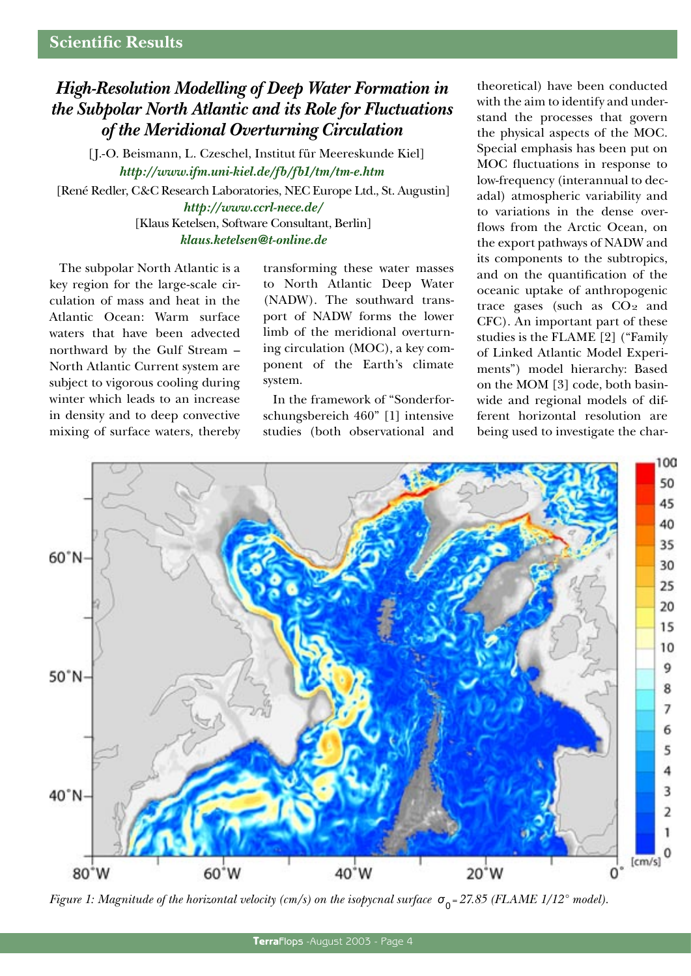# *High-Resolution Modelling of Deep Water Formation in the Subpolar North Atlantic and its Role for Fluctuations of the Meridional Overturning Circulation*

[J.-O. Beismann, L. Czeschel, Institut für Meereskunde Kiel] *http://www.ifm.uni-kiel.de/fb/fb1/tm/tm-e.htm* [René Redler, C&C Research Laboratories, NEC Europe Ltd., St. Augustin] *http://www.ccrl-nece.de/* [Klaus Ketelsen, Software Consultant, Berlin] *klaus.ketelsen@t-online.de*

The subpolar North Atlantic is a key region for the large-scale circulation of mass and heat in the Atlantic Ocean: Warm surface waters that have been advected northward by the Gulf Stream – North Atlantic Current system are subject to vigorous cooling during winter which leads to an increase in density and to deep convective mixing of surface waters, thereby transforming these water masses to North Atlantic Deep Water (NADW). The southward transport of NADW forms the lower limb of the meridional overturning circulation (MOC), a key component of the Earth's climate system.

In the framework of "Sonderforschungsbereich 460" [1] intensive studies (both observational and theoretical) have been conducted with the aim to identify and understand the processes that govern the physical aspects of the MOC. Special emphasis has been put on MOC fluctuations in response to low-frequency (interannual to decadal) atmospheric variability and to variations in the dense overflows from the Arctic Ocean, on the export pathways of NADW and its components to the subtropics, and on the quantification of the oceanic uptake of anthropogenic trace gases (such as  $CO<sub>2</sub>$  and CFC). An important part of these studies is the FLAME [2] ("Family of Linked Atlantic Model Experiments") model hierarchy: Based on the MOM [3] code, both basinwide and regional models of different horizontal resolution are being used to investigate the char-



*Figure 1: Magnitude of the horizontal velocity (cm/s) on the isopycnal surface*  $\sigma_0 = 27.85$  (*FLAME 1/12° model*).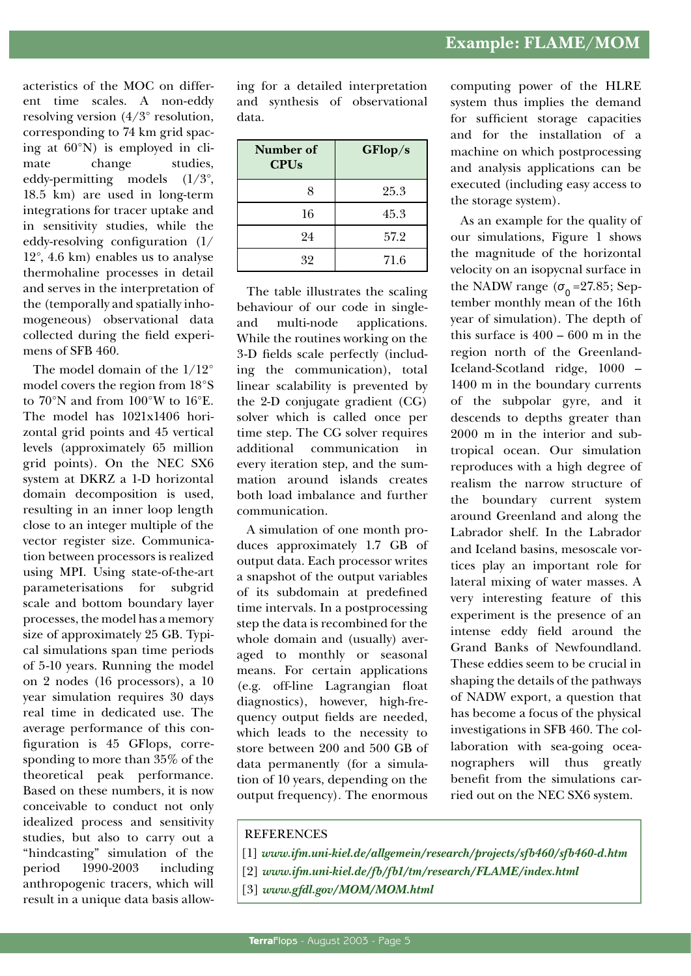acteristics of the MOC on different time scales. A non-eddy resolving version (4/3° resolution, corresponding to 74 km grid spacing at 60°N) is employed in climate change studies, eddy-permitting models (1/3°, 18.5 km) are used in long-term integrations for tracer uptake and in sensitivity studies, while the eddy-resolving configuration (1/ 12°, 4.6 km) enables us to analyse thermohaline processes in detail and serves in the interpretation of the (temporally and spatially inhomogeneous) observational data collected during the field experimens of SFB 460.

The model domain of the 1/12° model covers the region from 18°S to 70°N and from 100°W to 16°E. The model has 1021x1406 horizontal grid points and 45 vertical levels (approximately 65 million grid points). On the NEC SX6 system at DKRZ a 1-D horizontal domain decomposition is used, resulting in an inner loop length close to an integer multiple of the vector register size. Communication between processors is realized using MPI. Using state-of-the-art parameterisations for subgrid scale and bottom boundary layer processes, the model has a memory size of approximately 25 GB. Typical simulations span time periods of 5-10 years. Running the model on 2 nodes (16 processors), a 10 year simulation requires 30 days real time in dedicated use. The average performance of this configuration is 45 GFlops, corresponding to more than 35% of the theoretical peak performance. Based on these numbers, it is now conceivable to conduct not only idealized process and sensitivity studies, but also to carry out a "hindcasting" simulation of the period 1990-2003 including anthropogenic tracers, which will result in a unique data basis allow-

ing for a detailed interpretation and synthesis of observational data.

| Number of<br><b>CPUs</b> | GFlop/s |
|--------------------------|---------|
| 8                        | 25.3    |
| 16                       | 45.3    |
| 24                       | 57.2    |
| 32                       | 71.6    |

The table illustrates the scaling behaviour of our code in singleand multi-node applications. While the routines working on the 3-D fields scale perfectly (including the communication), total linear scalability is prevented by the 2-D conjugate gradient (CG) solver which is called once per time step. The CG solver requires additional communication in every iteration step, and the summation around islands creates both load imbalance and further communication.

A simulation of one month produces approximately 1.7 GB of output data. Each processor writes a snapshot of the output variables of its subdomain at predefined time intervals. In a postprocessing step the data is recombined for the whole domain and (usually) averaged to monthly or seasonal means. For certain applications (e.g. off-line Lagrangian float diagnostics), however, high-frequency output fields are needed, which leads to the necessity to store between 200 and 500 GB of data permanently (for a simulation of 10 years, depending on the output frequency). The enormous

computing power of the HLRE system thus implies the demand for sufficient storage capacities and for the installation of a machine on which postprocessing and analysis applications can be executed (including easy access to the storage system).

As an example for the quality of our simulations, Figure 1 shows the magnitude of the horizontal velocity on an isopycnal surface in the NADW range  $(\sigma_0 = 27.85;$  September monthly mean of the 16th year of simulation). The depth of this surface is 400 – 600 m in the region north of the Greenland-Iceland-Scotland ridge, 1000 – 1400 m in the boundary currents of the subpolar gyre, and it descends to depths greater than 2000 m in the interior and subtropical ocean. Our simulation reproduces with a high degree of realism the narrow structure of the boundary current system around Greenland and along the Labrador shelf. In the Labrador and Iceland basins, mesoscale vortices play an important role for lateral mixing of water masses. A very interesting feature of this experiment is the presence of an intense eddy field around the Grand Banks of Newfoundland. These eddies seem to be crucial in shaping the details of the pathways of NADW export, a question that has become a focus of the physical investigations in SFB 460. The collaboration with sea-going oceanographers will thus greatly benefit from the simulations carried out on the NEC SX6 system.

#### **REFERENCES**

- [1] *www.ifm.uni-kiel.de/allgemein/research/projects/sfb460/sfb460-d.htm*
- [2] *www.ifm.uni-kiel.de/fb/fb1/tm/research/FLAME/index.html*
- [3] *www.gfdl.gov/MOM/MOM.html*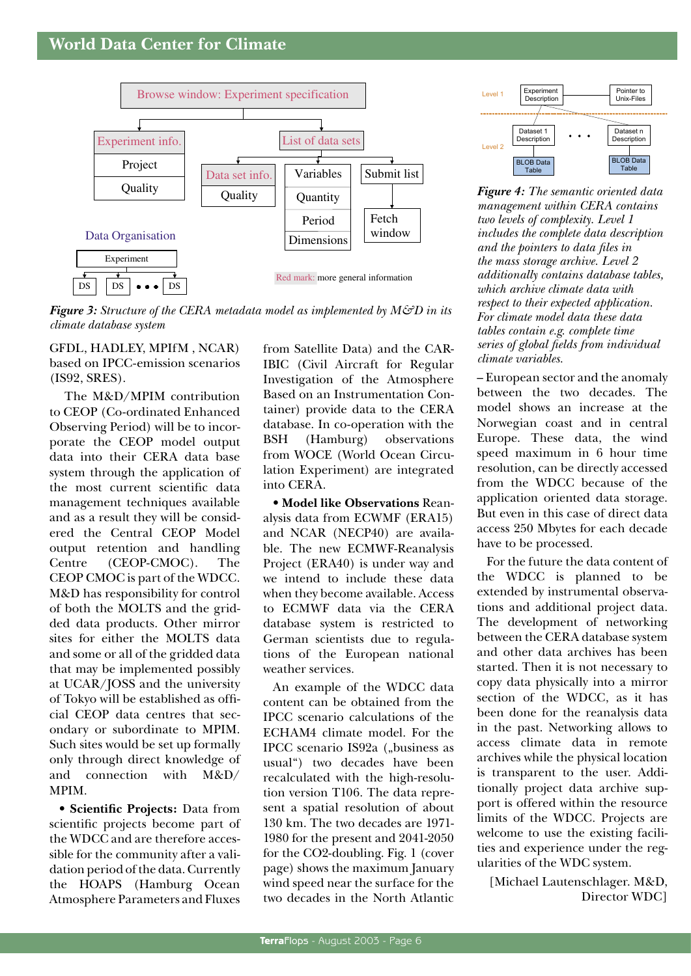

**Figure 3:** Structure of the CERA metadata model as implemented by  $M\mathcal{G}D$  in its climate database system

GFDL, HADLEY, MPIfM, NCAR) based on IPCC-emission scenarios  $(IS92, SRES).$ 

The M&D/MPIM contribution to CEOP (Co-ordinated Enhanced Observing Period) will be to incorporate the CEOP model output data into their CERA data base system through the application of the most current scientific data management techniques available and as a result they will be considered the Central CEOP Model output retention and handling (CEOP-CMOC). Centre The CEOP CMOC is part of the WDCC. M&D has responsibility for control of both the MOLTS and the gridded data products. Other mirror sites for either the MOLTS data and some or all of the gridded data that may be implemented possibly at UCAR/JOSS and the university of Tokyo will be established as official CEOP data centres that secondary or subordinate to MPIM. Such sites would be set up formally only through direct knowledge of and connection with M&D/ MPIM.

• Scientific Projects: Data from scientific projects become part of the WDCC and are therefore accessible for the community after a validation period of the data. Currently the HOAPS (Hamburg Ocean Atmosphere Parameters and Fluxes

from Satellite Data) and the CAR-IBIC (Civil Aircraft for Regular Investigation of the Atmosphere Based on an Instrumentation Container) provide data to the CERA database. In co-operation with the **BSH** (Hamburg) observations from WOCE (World Ocean Circulation Experiment) are integrated into CERA.

• Model like Observations Reanalysis data from ECWMF (ERA15) and NCAR (NECP40) are available. The new ECMWF-Reanalysis Project (ERA40) is under way and we intend to include these data when they become available. Access to ECMWF data via the CERA database system is restricted to German scientists due to regulations of the European national weather services.

An example of the WDCC data content can be obtained from the IPCC scenario calculations of the ECHAM4 climate model. For the IPCC scenario IS92a ("business as usual") two decades have been recalculated with the high-resolution version T106. The data represent a spatial resolution of about 130 km. The two decades are 1971-1980 for the present and 2041-2050 for the CO2-doubling. Fig. 1 (cover page) shows the maximum January wind speed near the surface for the two decades in the North Atlantic



**Figure 4:** The semantic oriented data management within CERA contains two levels of complexity. Level 1 includes the complete data description and the pointers to data files in the mass storage archive. Level 2 additionally contains database tables, which archive climate data with respect to their expected application. For climate model data these data tables contain e.g. complete time series of global fields from individual climate variables.

- European sector and the anomaly between the two decades. The model shows an increase at the Norwegian coast and in central Europe. These data, the wind speed maximum in 6 hour time resolution, can be directly accessed from the WDCC because of the application oriented data storage. But even in this case of direct data access 250 Mbytes for each decade have to be processed.

For the future the data content of the WDCC is planned to be extended by instrumental observations and additional project data. The development of networking between the CERA database system and other data archives has been started. Then it is not necessary to copy data physically into a mirror section of the WDCC, as it has been done for the reanalysis data in the past. Networking allows to access climate data in remote archives while the physical location is transparent to the user. Additionally project data archive support is offered within the resource limits of the WDCC. Projects are welcome to use the existing facilities and experience under the regularities of the WDC system.

[Michael Lautenschlager. M&D, Director WDC1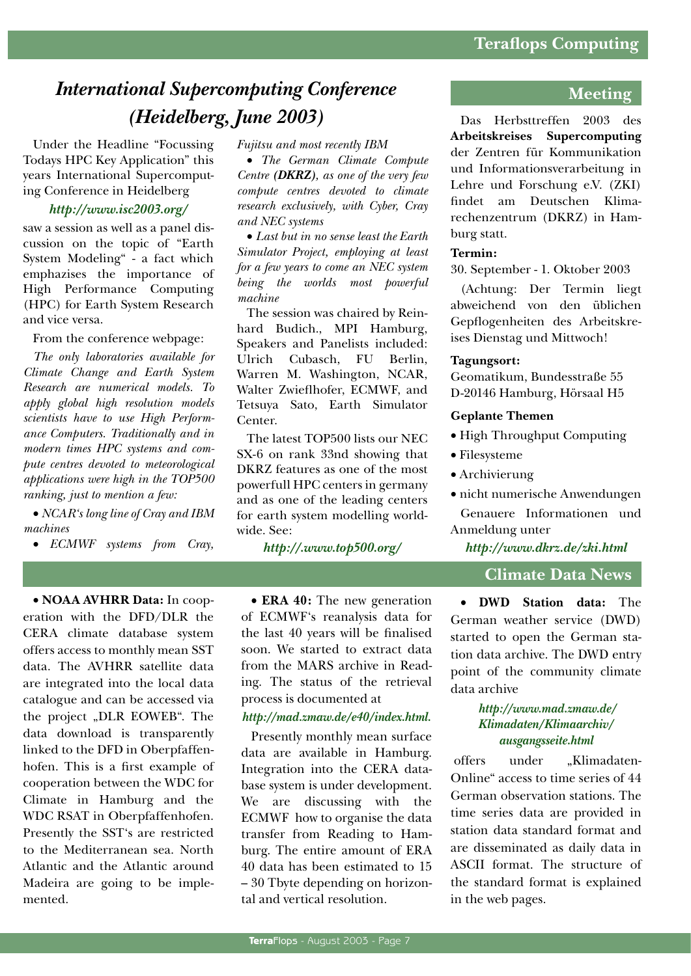# *International Supercomputing Conference (Heidelberg, June 2003)*

Under the Headline "Focussing Todays HPC Key Application" this years International Supercomputing Conference in Heidelberg

#### *http://www.isc2003.org/*

saw a session as well as a panel discussion on the topic of "Earth System Modeling" - a fact which emphazises the importance of High Performance Computing (HPC) for Earth System Research and vice versa.

From the conference webpage:

*The only laboratories available for Climate Change and Earth System Research are numerical models. To apply global high resolution models scientists have to use High Performance Computers. Traditionally and in modern times HPC systems and compute centres devoted to meteorological applications were high in the TOP500 ranking, just to mention a few:*

• *NCAR's long line of Cray and IBM machines*

• *ECMWF systems from Cray,* 

• **NOAA AVHRR Data:** In cooperation with the DFD/DLR the CERA climate database system offers access to monthly mean SST data. The AVHRR satellite data are integrated into the local data catalogue and can be accessed via the project "DLR EOWEB". The data download is transparently linked to the DFD in Oberpfaffenhofen. This is a first example of cooperation between the WDC for Climate in Hamburg and the WDC RSAT in Oberpfaffenhofen. Presently the SST's are restricted to the Mediterranean sea. North Atlantic and the Atlantic around Madeira are going to be implemented.

*Fujitsu and most recently IBM*

• *The German Climate Compute Centre (DKRZ), as one of the very few compute centres devoted to climate research exclusively, with Cyber, Cray and NEC systems*

• *Last but in no sense least the Earth Simulator Project, employing at least for a few years to come an NEC system being the worlds most powerful machine*

The session was chaired by Reinhard Budich., MPI Hamburg, Speakers and Panelists included: Ulrich Cubasch, FU Berlin, Warren M. Washington, NCAR, Walter Zwieflhofer, ECMWF, and Tetsuya Sato, Earth Simulator Center.

The latest TOP500 lists our NEC SX-6 on rank 33nd showing that DKRZ features as one of the most powerfull HPC centers in germany and as one of the leading centers for earth system modelling worldwide. See:

*http://.www.top500.org/*

• **ERA 40:** The new generation of ECMWF's reanalysis data for the last 40 years will be finalised soon. We started to extract data from the MARS archive in Reading. The status of the retrieval process is documented at

#### *http://mad.zmaw.de/e40/index.html.*

Presently monthly mean surface data are available in Hamburg. Integration into the CERA database system is under development. We are discussing with the ECMWF how to organise the data transfer from Reading to Hamburg. The entire amount of ERA 40 data has been estimated to 15 – 30 Tbyte depending on horizontal and vertical resolution.

### **Meeting**

Das Herbsttreffen 2003 des **Arbeitskreises Supercomputing** der Zentren für Kommunikation und Informationsverarbeitung in Lehre und Forschung e.V. (ZKI) findet am Deutschen Klimarechenzentrum (DKRZ) in Hamburg statt.

#### **Termin:**

30. September - 1. Oktober 2003

(Achtung: Der Termin liegt abweichend von den üblichen Gepflogenheiten des Arbeitskreises Dienstag und Mittwoch!

#### **Tagungsort:**

Geomatikum, Bundesstraße 55 D-20146 Hamburg, Hörsaal H5

#### **Geplante Themen**

- High Throughput Computing
- Filesysteme
- Archivierung
- nicht numerische Anwendungen

Genauere Informationen und Anmeldung unter

*http://www.dkrz.de/zki.html*

#### **Climate Data News**

• **DWD Station data:** The German weather service (DWD) started to open the German station data archive. The DWD entry point of the community climate data archive

#### *http://www.mad.zmaw.de/ Klimadaten/Klimaarchiv/ ausgangsseite.html*

offers under .Klimadaten-Online" access to time series of 44 German observation stations. The time series data are provided in station data standard format and are disseminated as daily data in ASCII format. The structure of the standard format is explained in the web pages.